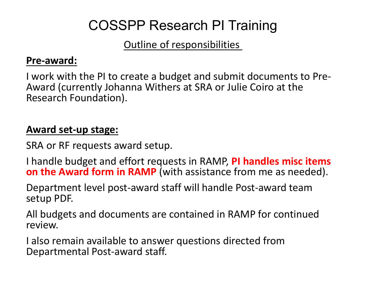# COSSPP Research PI Training

# Outline of responsibilities

## **Pre ‐award:**

I work with the PI to create a budget and submit documents to Pre ‐ Award (currently Johanna Withers at SRA or Julie Coiro at the Research Foundation).

# **Award set ‐up stage:**

SRA or RF requests award setup.

 handle budget and effort requests in RAMP, **PI handles misc items on the Award form in RAMP** (with assistance from me as needed).

Department level post ‐award staff will handle Post ‐award team setup PDF.

All budgets and documents are contained in RAMP for continued review.

 also remain available to answer questions directed from Departmental Post ‐award staff.